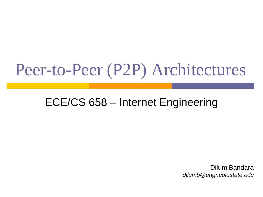#### Peer-to-Peer (P2P) Architectures

#### ECE/CS 658 – Internet Engineering

Dilum Bandara *dilumb@engr.colostate.edu*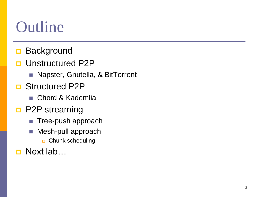#### Outline

- **Background**
- Unstructured P2P
	- **Napster, Gnutella, & BitTorrent**
- **D** Structured P2P
	- Chord & Kademlia
- **P2P** streaming
	- **Tree-push approach**
	- **Mesh-pull approach D** Chunk scheduling

**□** Next lab…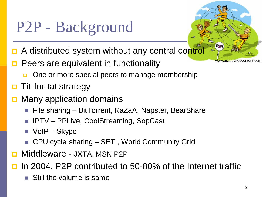## P2P - Background

- A distributed system without any central control
- Peers are equivalent in functionality
	- **One or more special peers to manage membership**
- Tit-for-tat strategy
- Many application domains
	- File sharing BitTorrent, KaZaA, Napster, BearShare
	- IPTV PPLive, CoolStreaming, SopCast
	- VoIP Skype
	- CPU cycle sharing SETI, World Community Grid
- Middleware JXTA, MSN P2P

In 2004, P2P contributed to 50-80% of the Internet traffic

Still the volume is same

www.associatedcontent.com

P2G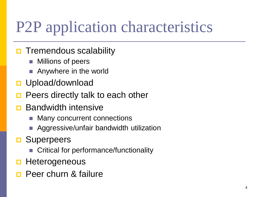### P2P application characteristics

- **O** Tremendous scalability
	- Millions of peers
	- Anywhere in the world
- **<u>D</u>** Upload/download
- Peers directly talk to each other
- Bandwidth intensive
	- Many concurrent connections
	- Aggressive/unfair bandwidth utilization
- **D** Superpeers
	- Critical for performance/functionality
- **Heterogeneous**
- Peer churn & failure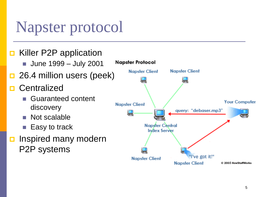#### Napster protocol

#### ■ Killer P2P application

- **June 1999 July 2001**
- $\Box$  26.4 million users (peek)
- **Centralized** 
	- **Guaranteed content** discovery
	- Not scalable
	- Easy to track
- **<u>n</u>** Inspired many modern P2P systems

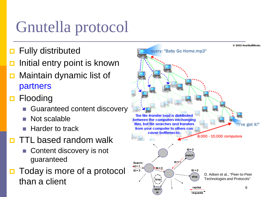## Gnutella protocol

- **D** Fully distributed
- Initial entry point is known
- **D** Maintain dynamic list of partners
- **□** Flooding
	- Guaranteed content discovery
	- Not scalable
	- Harder to track
- **D** TTL based random walk
	- Content discovery is not guaranteed
- Today is more of a protocol than a client

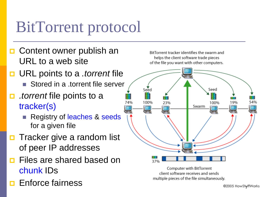#### BitTorrent protocol

- **D** Content owner publish an URL to a web site
- URL points to a *.torrent* file
	- Stored in a .torrent file server
- *.torrent* file points to a tracker(s)
	- Registry of leaches & seeds for a given file
- **D** Tracker give a random list of peer IP addresses
- Files are shared based on chunk IDs
- **E** Enforce fairness

BitTorrent tracker identifies the swarm and helps the client software trade pieces of the file you want with other computers.



Computer with BitTorrent client software receives and sends multiple pieces of the file simultaneously.

@2005 HowStuffWorks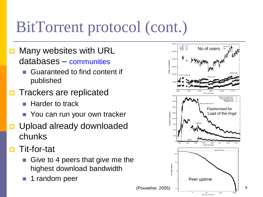### BitTorrent protocol (cont.)

- **D** Many websites with URL databases – communities
	- Guaranteed to find content if published
- **D** Trackers are replicated
	- Harder to track
	- You can run your own tracker
- D Upload already downloaded chunks
- Tit-for-tat
	- Give to 4 peers that give me the highest download bandwidth
	- 1 random peer

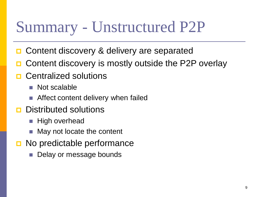#### Summary - Unstructured P2P

- Content discovery & delivery are separated
- Content discovery is mostly outside the P2P overlay
- Centralized solutions
	- **Not scalable**
	- Affect content delivery when failed
- **D** Distributed solutions
	- $\blacksquare$  High overhead
	- May not locate the content
- **D** No predictable performance
	- Delay or message bounds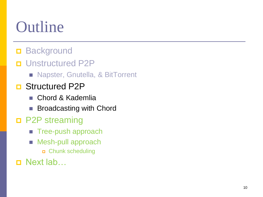### **Outline**

- **Background**
- **<u>n</u>** Unstructured P2P
	- **Napster, Gnutella, & BitTorrent**
- **D** Structured P2P
	- Chord & Kademlia
	- Broadcasting with Chord
- P2P streaming
	- **Tree-push approach**
	- **Mesh-pull approach** 
		- Chunk scheduling
- □ Next lab…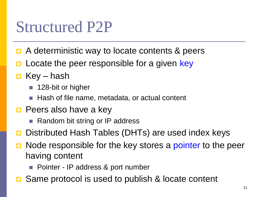#### Structured P2P

- **□** A deterministic way to locate contents & peers
- Locate the peer responsible for a given key
- $\Box$  Key hash
	- 128-bit or higher
	- Hash of file name, metadata, or actual content
- $\Box$  Peers also have a key
	- Random bit string or IP address
- Distributed Hash Tables (DHTs) are used index keys
- Node responsible for the key stores a pointer to the peer having content
	- Pointer IP address & port number
- Same protocol is used to publish & locate content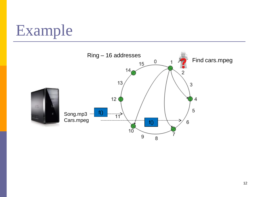### Example

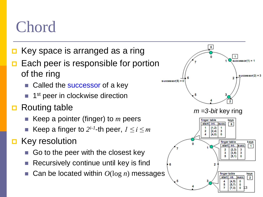#### Chord

- Key space is arranged as a ring
- Each peer is responsible for portion of the ring
	- Called the successor of a key
	- **1** 1<sup>st</sup> peer in clockwise direction
- Routing table
	- Keep a pointer (finger) to *m* peers
	- Keep a finger to  $2^{i-1}$ -th peer,  $1 \le i \le m$
- Key resolution
	- Go to the peer with the closest key
	- Recursively continue until key is find
	- Can be located within *O*(log *n*) messages

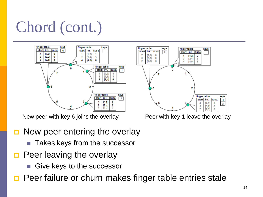## Chord (cont.)



- **D** New peer entering the overlay
	- **Takes keys from the successor**
- $\Box$  Peer leaving the overlay
	- Give keys to the successor
- **Peer failure or churn makes finger table entries stale**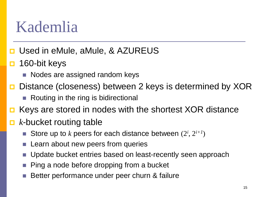#### Kademlia

- **□ Used in eMule, aMule, & AZUREUS**
- $\Box$  160-bit keys
	- Nodes are assigned random keys
- **□** Distance (closeness) between 2 keys is determined by XOR
	- Routing in the ring is bidirectional
- Keys are stored in nodes with the shortest XOR distance
- *k*-bucket routing table
	- Store up to *k* peers for each distance between  $(2^i, 2^{i+1})$
	- **Learn about new peers from queries**
	- **Update bucket entries based on least-recently seen approach**
	- Ping a node before dropping from a bucket
	- Better performance under peer churn & failure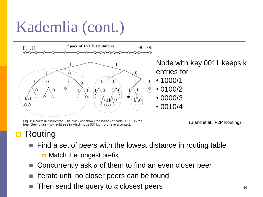### Kademlia (cont.)



Node with key 0011 keeps k entries for

- 1000/1
- 0100/2
- 0000/3
- $\cdot$  0010/4

Fig. 1: Kademlia binary tree. The black dot shows the loation of node 0011... in the tree. Grey ovals show subtrees in which node 0011... must have a contact.

(Bland et al., P2P Routing)

#### Routing

- Find a set of peers with the lowest distance in routing table
	- $\Box$  Match the longest prefix
- Concurrently ask *α* of them to find an even closer peer
- Iterate until no closer peers can be found
- Then send the query to  $\alpha$  closest peers  $16$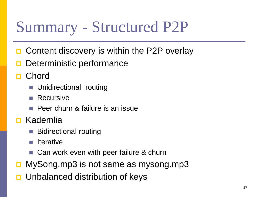#### Summary - Structured P2P

- Content discovery is within the P2P overlay
- Deterministic performance
- **Chord** 
	- **Unidirectional routing**
	- **Recursive**
	- **Peer churn & failure is an issue**
- **D** Kademlia
	- Bidirectional routing
	- **Iterative**
	- Can work even with peer failure & churn
- MySong.mp3 is not same as mysong.mp3
- Unbalanced distribution of keys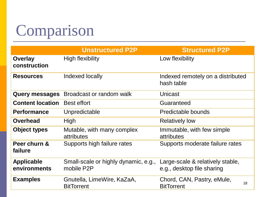#### Comparison

|                                   | <b>Unstructured P2P</b>                            | <b>Structured P2P</b>                                          |
|-----------------------------------|----------------------------------------------------|----------------------------------------------------------------|
| <b>Overlay</b><br>construction    | High flexibility                                   | Low flexibility                                                |
| <b>Resources</b>                  | Indexed locally                                    | Indexed remotely on a distributed<br>hash table                |
| <b>Query messages</b>             | Broadcast or random walk                           | Unicast                                                        |
| <b>Content location</b>           | <b>Best effort</b>                                 | Guaranteed                                                     |
| <b>Performance</b>                | Unpredictable                                      | Predictable bounds                                             |
| <b>Overhead</b>                   | High                                               | <b>Relatively low</b>                                          |
| <b>Object types</b>               | Mutable, with many complex<br>attributes           | Immutable, with few simple<br>attributes                       |
| Peer churn &<br>failure           | Supports high failure rates                        | Supports moderate failure rates                                |
| <b>Applicable</b><br>environments | Small-scale or highly dynamic, e.g.,<br>mobile P2P | Large-scale & relatively stable,<br>e.g., desktop file sharing |
| <b>Examples</b>                   | Gnutella, LimeWire, KaZaA,<br><b>BitTorrent</b>    | Chord, CAN, Pastry, eMule,<br>18<br><b>BitTorrent</b>          |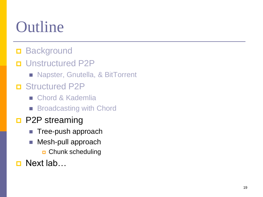### Outline

- **Background**
- **<u>n</u>** Unstructured P2P
	- **Napster, Gnutella, & BitTorrent**
- **D** Structured P2P
	- Chord & Kademlia
	- **Broadcasting with Chord**
- **D** P2P streaming
	- **Tree-push approach**
	- **Mesh-pull approach** 
		- Chunk scheduling
- **D** Next lab…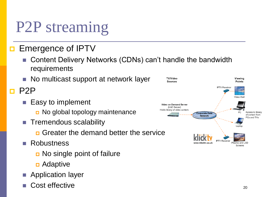#### P2P streaming

#### **E** Emergence of IPTV

- Content Delivery Networks (CDNs) can't handle the bandwidth requirements
- No multicast support at network layer

 $\blacksquare$  P2P

- Easy to implement
	- **D** No global topology maintenance
- **Tremendous scalability** 
	- Greater the demand better the service
- **Robustness** 
	- No single point of failure
	- **D** Adaptive
- **Application layer**
- Cost effective 20

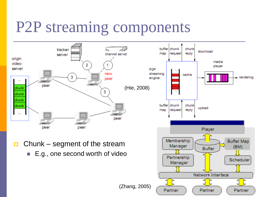#### P2P streaming components

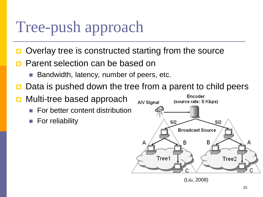#### Tree-push approach

- Overlay tree is constructed starting from the source
- **Parent selection can be based on** 
	- Bandwidth, latency, number of peers, etc.
- Data is pushed down the tree from a parent to child peers
- Multi-tree based approach
	- For better content distribution
	- **For reliability**



(Liu, 2008)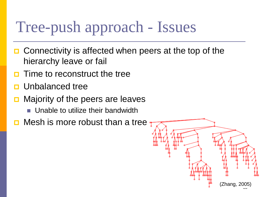#### Tree-push approach - Issues

- $\Box$  Connectivity is affected when peers at the top of the hierarchy leave or fail
- Time to reconstruct the tree
- Unbalanced tree
- Majority of the peers are leaves
	- **Unable to utilize their bandwidth**
- $\Box$  Mesh is more robust than a tree  $\eta$

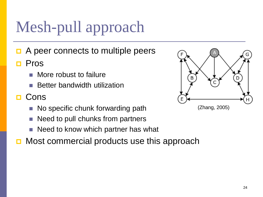## Mesh-pull approach

- A peer connects to multiple peers
- Pros
	- More robust to failure
	- Better bandwidth utilization
- Cons
	- No specific chunk forwarding path
	- Need to pull chunks from partners
	- Need to know which partner has what
- Most commercial products use this approach

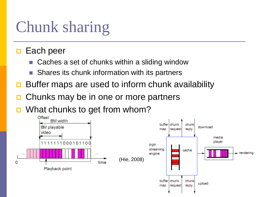#### Chunk sharing

#### $\Box$  Each peer

- Caches a set of chunks within a sliding window
- Shares its chunk information with its partners
- Buffer maps are used to inform chunk availability
- Chunks may be in one or more partners
- What chunks to get from whom?

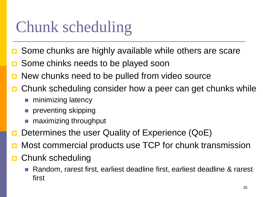#### Chunk scheduling

- Some chunks are highly available while others are scare
- Some chinks needs to be played soon
- New chunks need to be pulled from video source
- Chunk scheduling consider how a peer can get chunks while
	- minimizing latency
	- preventing skipping
	- **n** maximizing throughput
- Determines the user Quality of Experience (QoE)
- **D** Most commercial products use TCP for chunk transmission
- Chunk scheduling
	- Random, rarest first, earliest deadline first, earliest deadline & rarest first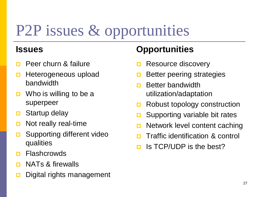### P2P issues & opportunities

#### **Issues**

- Peer churn & failure
- **Heterogeneous upload** bandwidth
- $\Box$  Who is willing to be a superpeer
- **□** Startup delay
- **D** Not really real-time
- **□** Supporting different video qualities
- **<u>n</u>** Flashcrowds
- **D** NATs & firewalls
- Digital rights management

#### **Opportunities**

- Resource discovery
- Better peering strategies
- n Better bandwidth utilization/adaptation
- **Robust topology construction**
- □ Supporting variable bit rates
- **D** Network level content caching
- **<u>E</u>** Traffic identification & control
- $\Box$  Is TCP/UDP is the best?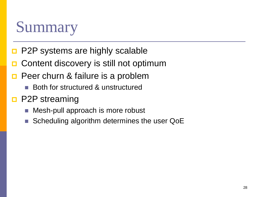#### Summary

- **P2P systems are highly scalable**
- Content discovery is still not optimum
- Peer churn & failure is a problem
	- Both for structured & unstructured
- **D** P2P streaming
	- Mesh-pull approach is more robust
	- Scheduling algorithm determines the user QoE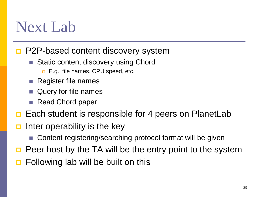#### Next Lab

#### ■ P2P-based content discovery system

- Static content discovery using Chord
	- **E.g., file names, CPU speed, etc.**
- Register file names
- Query for file names
- Read Chord paper
- **□** Each student is responsible for 4 peers on PlanetLab
- Inter operability is the key
	- Content registering/searching protocol format will be given
- Peer host by the TA will be the entry point to the system
- Following lab will be built on this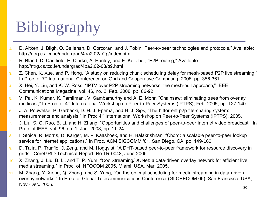## Bibliography

- 1. D. Aitken, J. Bligh, O. Callanan, D. Corcoran, and J. Tobin "Peer-to-peer technologies and protocols," Available: http://ntrg.cs.tcd.ie/undergrad/4ba2.02/p2p/index.html
- 2. R. Bland, D. Caulfield, E. Clarke, A. Hanley, and E. Kelleher, "P2P routing," Available: http://ntrg.cs.tcd.ie/undergrad/4ba2.02-03/p9.html
- 3. Z. Chen, K. Xue, and P. Hong, "A study on reducing chunk scheduling delay for mesh-based P2P live streaming," In Proc. of 7<sup>th</sup> International Conference on Grid and Cooperative Computing, 2008, pp. 356-361.
- 4. X. Hei, Y. Liu, and K. W. Ross, "IPTV over P2P streaming networks: the mesh-pull approach," IEEE Communications Magazine, vol. 46, no. 2, Feb. 2008, pp. 86-92.
- 5. V. Pai, K. Kumar, K. Tamilmani, V. Sambamurthy and A. E. Mohr, "Chainsaw: eliminating trees from overlay multicast," In Proc. of 4<sup>th</sup> International Workshop on Peer-to-Peer Systems (IPTPS), Feb. 2005, pp. 127-140.
- 6. J. A. Pouwelse, P. Garbacki, D. H. J. Epema, and H. J. Sips, "The bittorrent p2p file-sharing system: measurements and analysis," In Proc 4<sup>th</sup> International Workshop on Peer-to-Peer Systems (IPTPS), 2005.
- 7. J. Liu, S. G. Rao, B. Li, and H. Zhang, "Opportunities and challenges of peer-to-peer internet video broadcast," In Proc. of IEEE, vol. 96, no. 1, Jan. 2008, pp. 11-24.
- 8. I. Stoica, R. Morris, D. Karger, M. F. Kaashoek, and H. Balakrishnan, "Chord: a scalable peer-to-peer lookup service for internet applications," In Proc. ACM SIGCOMM '01, San Diego, CA, pp. 149-160.
- 9. D. Talia, P. Trunfio, J. Zeng, and M. Hogqvist, "A DHT-based peer-to-peer framework for resource discovery in grids," CoreGRID Technical Report, No TR-0048, June 2006.
- 10. X. Zhang, J. Liu, B. Li, and T. P. Yum, "CoolStreaming/DONet: a data-driven overlay network for efficient live media streaming," In Proc. of INFOCOM 2005, Miami, USA, Mar. 2005.
- 11. M. Zhang, Y. Xiong, Q. Zhang, and S. Yang, "On the optimal scheduling for media streaming in data-driven overlay networks," In Proc. of Global Telecommunications Conference (GLOBECOM 06), San Francisco, USA, Nov.-Dec. 2006.